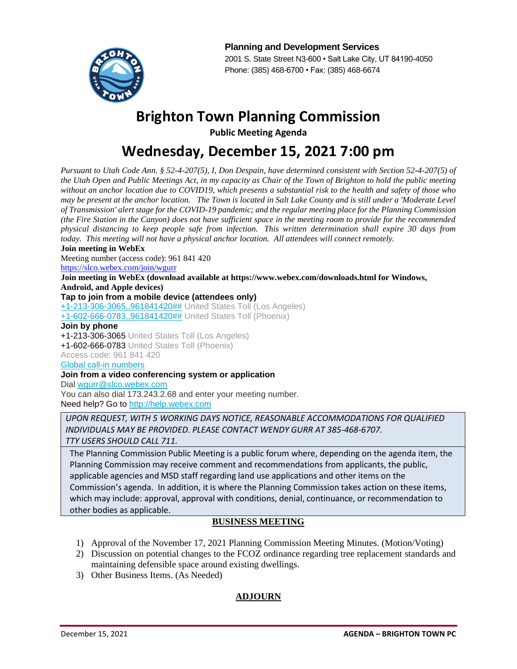

**Planning and Development Services** 2001 S. State Street N3-600 • Salt Lake City, UT 84190-4050 Phone: (385) 468-6700 • Fax: (385) 468-6674

# **Brighton Town Planning Commission**

**Public Meeting Agenda**

# **Wednesday, December 15, 2021 7:00 pm**

*Pursuant to Utah Code Ann. § 52-4-207(5), I, Don Despain, have determined consistent with Section 52-4-207(5) of the Utah Open and Public Meetings Act, in my capacity as Chair of the Town of Brighton to hold the public meeting without an anchor location due to COVID19, which presents a substantial risk to the health and safety of those who may be present at the anchor location. The Town is located in Salt Lake County and is still under a 'Moderate Level of Transmission' alert stage for the COVID-19 pandemic; and the regular meeting place for the Planning Commission (the Fire Station in the Canyon) does not have sufficient space in the meeting room to provide for the recommended physical distancing to keep people safe from infection. This written determination shall expire 30 days from today. This meeting will not have a physical anchor location. All attendees will connect remotely.*

### **Join meeting in WebEx**

Meeting number (access code): 961 841 420

<https://slco.webex.com/join/wgurr>

**Join meeting in WebEx (download available at https://www.webex.com/downloads.html for Windows, Android, and Apple devices)** 

# **Tap to join from a mobile device (attendees only)**

[+1-213-306-3065,,961841420##](tel:%2B1-213-306-3065,,*01*961841420%23%23*01*) United States Toll (Los Angeles)

[+1-602-666-0783,,961841420##](tel:%2B1-602-666-0783,,*01*961841420%23%23*01*) United States Toll (Phoenix)

### **Join by phone**

+1-213-306-3065 United States Toll (Los Angeles) +1-602-666-0783 United States Toll (Phoenix) Access code: 961 841 420 [Global call-in numbers](https://slco.webex.com/cmp3300/webcomponents/widget/globalcallin/globalcallin.do?siteurl=slco&serviceType=MC&ED=856043427&tollFree=0)

## **Join from a video conferencing system or application**

Dial [wgurr@slco.webex.com](sip:wgurr@slco.webex.com)

You can also dial 173.243.2.68 and enter your meeting number. Need help? Go to [http://help.webex.com](http://help.webex.com/)

*UPON REQUEST, WITH 5 WORKING DAYS NOTICE, REASONABLE ACCOMMODATIONS FOR QUALIFIED INDIVIDUALS MAY BE PROVIDED. PLEASE CONTACT WENDY GURR AT 385-468-6707. TTY USERS SHOULD CALL 711.*

The Planning Commission Public Meeting is a public forum where, depending on the agenda item, the Planning Commission may receive comment and recommendations from applicants, the public, applicable agencies and MSD staff regarding land use applications and other items on the Commission's agenda. In addition, it is where the Planning Commission takes action on these items, which may include: approval, approval with conditions, denial, continuance, or recommendation to other bodies as applicable.

# **BUSINESS MEETING**

- 1) Approval of the November 17, 2021 Planning Commission Meeting Minutes. (Motion/Voting)
- 2) Discussion on potential changes to the FCOZ ordinance regarding tree replacement standards and maintaining defensible space around existing dwellings.
- 3) Other Business Items. (As Needed)

# **ADJOURN**